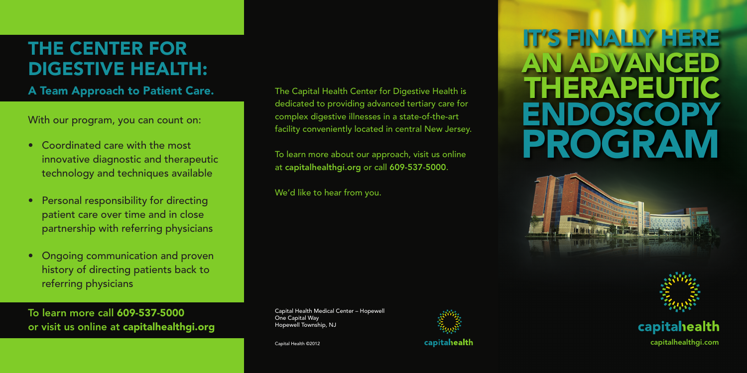With our program, you can count on:

- Coordinated care with the most innovative diagnostic and therapeutic technology and techniques available
- Personal responsibility for directing patient care over time and in close partnership with referring physicians
- Ongoing communication and proven history of directing patients back to referring physicians

# THE CENTER FOR Digestive Health:

A Team Approach to Patient Care. The Capital Health Center for Digestive Health is

To learn more call 609-537-5000 or visit us online at capitalhealthgi.org dedicated to providing advanced tertiary care for complex digestive illnesses in a state-of-the-art facility conveniently located in central New Jersey.

To learn more about our approach, visit us online at capitalhealthgi.org or call 609-537-5000.

We'd like to hear from you.

Capital Health Medical Center – Hopewell One Capital Way Hopewell Township, NJ



# It's finally here An advanced therapeutic **ENDOSCOP** program



# capitahealth

capital Health ©2012 **capital Health Capital Health** Capital Health Capital Health Capital Health Capital Health Capital Health Capital Health Capital Health Capital Health Capital Health Capital Health Capital Health Capi